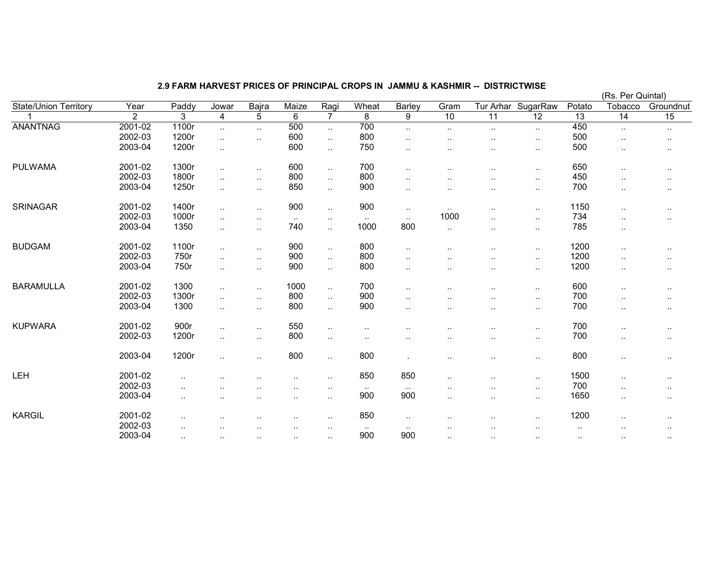## 2.9 FARM HARVEST PRICES OF PRINCIPAL CROPS IN JAMMU & KASHMIR -- DISTRICTWISE

|                              |         |           |                      |                      |                      |                |               |                        |                      |                      | (Rs. Per Quintal)  |           |                      |                        |
|------------------------------|---------|-----------|----------------------|----------------------|----------------------|----------------|---------------|------------------------|----------------------|----------------------|--------------------|-----------|----------------------|------------------------|
| <b>State/Union Territory</b> | Year    | Paddy     | Jowar                | Bajra                | Maize                | Ragi           | Wheat         | Barley                 | Gram                 |                      | Tur Arhar SugarRaw | Potato    | Tobacco              | Groundnut              |
|                              | 2       | 3         | 4                    | 5                    | 6                    | $\overline{7}$ | 8             | $\overline{9}$         | 10                   | 11                   | 12                 | 13        | $\overline{14}$      | 15                     |
| <b>ANANTNAG</b>              | 2001-02 | 1100r     | $\sim$               | $\ddotsc$            | 500                  | $\ddotsc$      | 700           | $\ddot{\phantom{1}}$   | $\sim$               | $\ddotsc$            | $\cdot$ .          | 450       | $\ddotsc$            | $\ddotsc$              |
|                              | 2002-03 | 1200r     | $\sim$               | $\ddotsc$            | 600                  | $\ldots$       | 800           | ٠.                     | $\sim$ $\sim$        |                      | $\cdot$ .          | 500       |                      |                        |
|                              | 2003-04 | 1200r     | $\sim$               |                      | 600                  | $\mathbf{L}$   | 750           | $\ddotsc$              | $\sim$               |                      | $\ldots$           | 500       | $\ddotsc$            |                        |
| <b>PULWAMA</b>               | 2001-02 | 1300r     | $\ddotsc$            | $\ddotsc$            | 600                  | $\mathbf{L}$   | 700           | $\ddotsc$              | $\ddot{\phantom{a}}$ | $\ddotsc$            | $\ddotsc$          | 650       | $\ddotsc$            | $\cdot$ .              |
|                              | 2002-03 | 1800r     | $\ldots$             | $\sim$               | 800                  | $\sim$         | 800           | ٠.                     |                      |                      | $\cdot$ .          | 450       |                      | $\cdot$ .              |
|                              | 2003-04 | 1250r     | $\ddotsc$            | $\sim$ $\sim$        | 850                  | $\ldots$       | 900           | ٠.                     | $\cdot$ .            |                      | $\cdot$ .          | 700       | $\ddotsc$            | $\cdot$ .              |
| <b>SRINAGAR</b>              | 2001-02 | 1400r     | $\sim$               | $\ddotsc$            | 900                  | $\ddotsc$      | 900           | $\sim$                 | $\sim$               | $\ddot{\phantom{a}}$ | $\cdot$ .          | 1150      |                      | $\cdot$ .              |
|                              | 2002-03 | 1000r     | $\ddotsc$            | $\sim$ $\sim$        | $\sim$               | $\sim$         | $\sim$ $\sim$ | $\sim$ $\sim$          | 1000                 | $\ddot{\phantom{a}}$ | $\ddotsc$          | 734       | $\ddotsc$            | $\cdot$ .              |
|                              | 2003-04 | 1350      | $\ldots$             | $\sim$               | 740                  | $\ddotsc$      | 1000          | 800                    | $\sim$               | ٠.                   | $\cdot$ .          | 785       | $\sim$               |                        |
| <b>BUDGAM</b>                | 2001-02 | 1100r     | $\sim$               | $\sim$               | 900                  | $\mathbf{L}$   | 800           | $\sim$                 | $\cdot$ .            |                      | $\cdot$ .          | 1200      |                      | $\sim$                 |
|                              | 2002-03 | 750r      | $\sim$               | $\ddotsc$            | 900                  | $\ldots$       | 800           | $\ddotsc$              | $\ddotsc$            | ٠.                   | $\cdot$ .          | 1200      | $\sim$               | $\cdot$ .              |
|                              | 2003-04 | 750r      | $\sim$               | $\sim$               | 900                  | $\sim$         | 800           | $\ddotsc$              | $\cdot$ .            | ٠.                   | $\cdot$ .          | 1200      | $\sim$               | $\ddot{\phantom{a}}$   |
| <b>BARAMULLA</b>             | 2001-02 | 1300      | $\mathbf{L}$         | $\sim$               | 1000                 | $\sim$         | 700           | $\sim$                 | ٠.                   | $\ddot{\phantom{a}}$ | $\sim$             | 600       | $\sim$               | $\cdot$ .              |
|                              | 2002-03 | 1300r     | $\ddotsc$            | $\ddotsc$            | 800                  | $\ldots$       | 900           | $\ddotsc$              | . .                  |                      | $\sim$             | 700       | $\sim$               |                        |
|                              | 2003-04 | 1300      | $\sim$               | $\sim$ .             | 800                  | $\ddotsc$      | 900           | $\ddotsc$              | $\ddotsc$            | ٠.                   | $\cdot$ .          | 700       | $\sim$               | $\cdot$ .              |
| <b>KUPWARA</b>               | 2001-02 | 900r      | $\sim$               | $\sim$               | 550                  | $\ddotsc$      | $\sim$        | $\sim$                 |                      |                      | $\ldots$           | 700       |                      | $\cdot$ .              |
|                              | 2002-03 | 1200r     | $\ddotsc$            | $\sim$ .             | 800                  | $\sim$         |               |                        | ٠.                   |                      | $\sim$             | 700       | $\ddot{\phantom{a}}$ | $\sim$                 |
|                              | 2003-04 | 1200r     | $\ddotsc$            | $\cdot$ .            | 800                  | $\sim$         | 800           |                        | $\cdot$ .            |                      | $\cdot$ .          | 800       | $\cdot$ .            | $\cdot$ .              |
| LEH                          | 2001-02 | $\ddotsc$ |                      |                      | $\ddotsc$            | $\sim$         | 850           | 850                    |                      | $\ddot{\phantom{a}}$ | $\ldots$           | 1500      | $\cdot$ .            | $\ddot{\phantom{1}}$ . |
|                              | 2002-03 | $\cdot$ . |                      |                      |                      | $\sim$         | $\sim$        | $\sim$                 |                      |                      | $\ldots$           | 700       | $\ddot{\phantom{a}}$ |                        |
|                              | 2003-04 | $\ddotsc$ | $\cdot$ .            | $\sim$ $\sim$        | $\sim$               | $\sim$         | 900           | 900                    | $\ddotsc$            |                      | $\cdot$ .          | 1650      | $\cdot$ .            | $\cdot$ .              |
| <b>KARGIL</b>                | 2001-02 | $\cdot$ . |                      |                      |                      | $\sim$         | 850           | $\ddot{\phantom{1}}$ . |                      |                      | $\cdot$ .          | 1200      |                      | $\cdot$ .              |
|                              | 2002-03 | $\cdot$ . | $\ddot{\phantom{0}}$ | $\ddot{\phantom{0}}$ | $\ddot{\phantom{a}}$ | $\sim$         | $\sim$        | $\sim$                 |                      |                      | ٠.                 | $\cdot$ . | ٠.                   | $\ddot{\phantom{1}}$ . |
|                              | 2003-04 | $\sim$    | $\sim$               | $\sim$               | $\sim$ $\sim$        | $\sim$         | 900           | 900                    | $\sim$ $\sim$        | ٠.                   | $\sim$             | $\sim$    | $\cdot$ .            | $\cdot$ .              |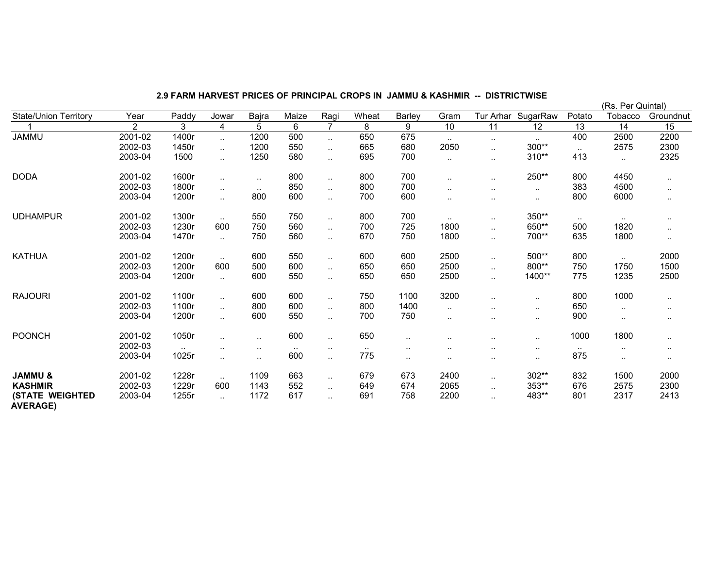| 2.9 FARM HARVEST PRICES OF PRINCIPAL CROPS IN JAMMU & KASHMIR -- DISTRICTWISE |  |  |
|-------------------------------------------------------------------------------|--|--|
|                                                                               |  |  |

|                                           |                |               |                      |                      |        |                |               |               |        |                      |           |               | (Rs. Per Quintal) |               |
|-------------------------------------------|----------------|---------------|----------------------|----------------------|--------|----------------|---------------|---------------|--------|----------------------|-----------|---------------|-------------------|---------------|
| <b>State/Union Territory</b>              | Year           | Paddy         | Jowar                | Bajra                | Maize  | Ragi           | Wheat         | Barley        | Gram   | Tur Arhar            | SugarRaw  | Potato        | Tobacco           | Groundnut     |
|                                           | $\overline{2}$ | 3             | 4                    | 5                    | 6      | $\overline{7}$ | 8             | 9             | 10     | 11                   | 12        | 13            | 14                | 15            |
| <b>JAMMU</b>                              | 2001-02        | 1400r         | $\ddotsc$            | 1200                 | 500    | $\sim$         | 650           | 675           | $\sim$ | $\sim$               | $\sim$    | 400           | 2500              | 2200          |
|                                           | 2002-03        | 1450r         | $\ddotsc$            | 1200                 | 550    | $\ddotsc$      | 665           | 680           | 2050   | $\ddotsc$            | 300**     | $\ddotsc$     | 2575              | 2300          |
|                                           | 2003-04        | 1500          | $\ddotsc$            | 1250                 | 580    | $\sim$         | 695           | 700           | $\sim$ | $\sim$               | 310**     | 413           | $\cdot$ .         | 2325          |
| <b>DODA</b>                               | 2001-02        | 1600r         | $\ddot{\phantom{1}}$ | $\sim$ $\sim$        | 800    | $\sim$         | 800           | 700           | $\sim$ | $\ddotsc$            | 250**     | 800           | 4450              | $\cdot$ .     |
|                                           | 2002-03        | 1800r         | $\ddot{\phantom{1}}$ | $\sim$               | 850    | $\sim$         | 800           | 700           |        | $\ddot{\phantom{a}}$ | $\sim$    | 383           | 4500              | $\cdot$ .     |
|                                           | 2003-04        | 1200r         | $\ddot{\phantom{a}}$ | 800                  | 600    | $\ddotsc$      | 700           | 600           | $\sim$ |                      | $\ddotsc$ | 800           | 6000              | $\sim$        |
| <b>UDHAMPUR</b>                           | 2001-02        | 1300r         | $\sim$               | 550                  | 750    | $\sim$         | 800           | 700           | $\sim$ | $\sim$               | 350**     | $\sim$ $\sim$ | $\sim$            | $\cdot$ .     |
|                                           | 2002-03        | 1230r         | 600                  | 750                  | 560    | $\ddotsc$      | 700           | 725           | 1800   | $\ddotsc$            | 650**     | 500           | 1820              | $\ddotsc$     |
|                                           | 2003-04        | 1470r         | $\ddotsc$            | 750                  | 560    | $\sim$         | 670           | 750           | 1800   | $\cdot$ .            | 700**     | 635           | 1800              | $\sim$        |
| <b>KATHUA</b>                             | 2001-02        | 1200r         | $\sim$               | 600                  | 550    | $\ddotsc$      | 600           | 600           | 2500   |                      | 500**     | 800           | $\ddotsc$         | 2000          |
|                                           | 2002-03        | 1200r         | 600                  | 500                  | 600    | $\sim$         | 650           | 650           | 2500   |                      | $800**$   | 750           | 1750              | 1500          |
|                                           | 2003-04        | 1200r         | $\ddotsc$            | 600                  | 550    | $\ddotsc$      | 650           | 650           | 2500   | $\ddotsc$            | 1400**    | 775           | 1235              | 2500          |
| <b>RAJOURI</b>                            | 2001-02        | 1100r         | $\ddotsc$            | 600                  | 600    | $\sim$         | 750           | 1100          | 3200   |                      | $\ddotsc$ | 800           | 1000              | $\cdot$ .     |
|                                           | 2002-03        | 1100r         | $\ddot{\phantom{a}}$ | 800                  | 600    | $\ddotsc$      | 800           | 1400          | $\sim$ | $\ddot{\phantom{a}}$ | $\ddotsc$ | 650           | $\cdot$ .         | $\cdots$      |
|                                           | 2003-04        | 1200r         | $\ddotsc$            | 600                  | 550    | $\sim$         | 700           | 750           | $\sim$ | $\cdot$ .            | $\cdot$ . | 900           | $\cdot$ .         | $\sim$ $\sim$ |
| <b>POONCH</b>                             | 2001-02        | 1050r         | $\ddotsc$            | $\ddotsc$            | 600    | $\ddotsc$      | 650           | $\ddotsc$     |        |                      | $\ddotsc$ | 1000          | 1800              | $\cdot$ .     |
|                                           | 2002-03        | $\sim$ $\sim$ |                      | $\sim$               | $\sim$ | $\sim$         | $\sim$ $\sim$ | $\sim$ $\sim$ | . .    |                      | $\sim$    | $\sim$        | $\cdot$ .         | $\sim$ $\sim$ |
|                                           | 2003-04        | 1025r         | $\ddotsc$            | $\ddot{\phantom{a}}$ | 600    | $\sim$         | 775           | $\ldots$      | $\sim$ | $\ddot{\phantom{a}}$ | $\sim$    | 875           | $\sim$            | $\sim$ $\sim$ |
| <b>JAMMU &amp;</b>                        | 2001-02        | 1228r         | $\ddotsc$            | 1109                 | 663    | $\ddotsc$      | 679           | 673           | 2400   | $\ddotsc$            | 302**     | 832           | 1500              | 2000          |
| <b>KASHMIR</b>                            | 2002-03        | 1229r         | 600                  | 1143                 | 552    | $\sim$         | 649           | 674           | 2065   | $\ddotsc$            | 353**     | 676           | 2575              | 2300          |
| <b>(STATE WEIGHTED</b><br><b>AVERAGE)</b> | 2003-04        | 1255r         | $\ddotsc$            | 1172                 | 617    |                | 691           | 758           | 2200   | $\ddotsc$            | 483**     | 801           | 2317              | 2413          |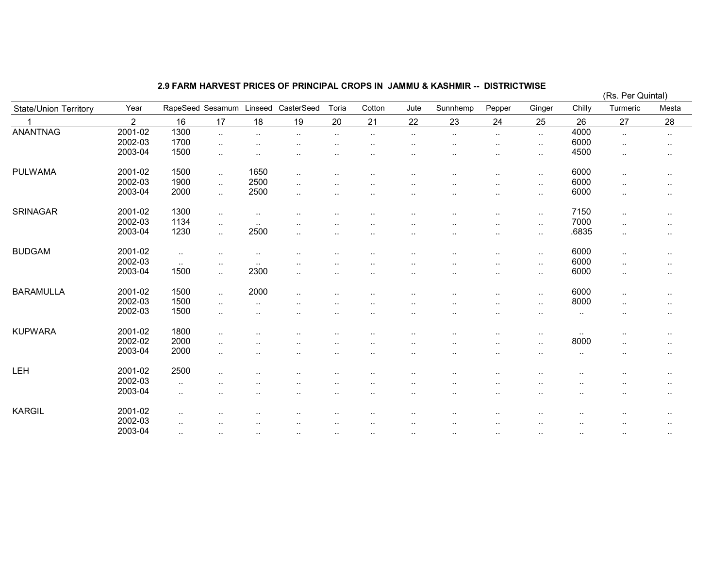## 2.9 FARM HARVEST PRICES OF PRINCIPAL CROPS IN JAMMU & KASHMIR -- DISTRICTWISE

|                              |                |               |                  |                        |                      |               |                      |               |                      |                        |                      |                      | (RS. Per Quintal)    |               |
|------------------------------|----------------|---------------|------------------|------------------------|----------------------|---------------|----------------------|---------------|----------------------|------------------------|----------------------|----------------------|----------------------|---------------|
| <b>State/Union Territory</b> | Year           |               | RapeSeed Sesamum | Linseed                | CasterSeed           | Toria         | Cotton               | Jute          | Sunnhemp             | Pepper                 | Ginger               | Chilly               | Turmeric             | Mesta         |
|                              | $\overline{2}$ | 16            | 17               | 18                     | 19                   | 20            | 21                   | 22            | 23                   | 24                     | 25                   | 26                   | 27                   | 28            |
| <b>ANANTNAG</b>              | 2001-02        | 1300          | $\ddotsc$        | $\sim$                 | $\cdot$ .            | $\sim$        | $\cdot$ .            | $\ldots$      | $\cdot$ .            | $\sim$                 | $\ddotsc$            | 4000                 | $\ldots$             | $\sim$ $\sim$ |
|                              | 2002-03        | 1700          | $\ddotsc$        | $\ddot{\phantom{a}}$ . |                      |               | $\cdot$ .            | $\sim$ $\sim$ | $\ddotsc$            | $\cdot$ .              | $\cdot$ .            | 6000                 | $\ddotsc$            | $\sim$        |
|                              | 2003-04        | 1500          | $\ddotsc$        | $\ddotsc$              |                      |               |                      | ٠.            |                      | $\cdot$ .              | $\cdot$ .            | 4500                 | $\cdot$ .            | $\sim$        |
| <b>PULWAMA</b>               | 2001-02        | 1500          | $\ddotsc$        | 1650                   | $\ddotsc$            | $\cdot$ .     | $\ddot{\phantom{0}}$ |               |                      |                        | $\sim$               | 6000                 | $\ldots$             | $\sim$ $\sim$ |
|                              | 2002-03        | 1900          | $\ddotsc$        | 2500                   | $\ddotsc$            |               | $\cdot$ .            | $\cdot$ .     |                      | $\cdot$ .              | $\cdot$ .            | 6000                 | $\cdot$ .            | $\sim$        |
|                              | 2003-04        | 2000          | $\ddotsc$        | 2500                   | ٠.                   | $\sim$        | $\ddotsc$            | $\cdot$ .     | $\ddotsc$            | $\cdot$ .              | $\cdot$ .            | 6000                 | $\cdot$ .            | $\sim$        |
| <b>SRINAGAR</b>              | 2001-02        | 1300          | $\ddotsc$        | $\ddotsc$              |                      |               | $\ddot{\phantom{0}}$ |               | $\ddotsc$            | $\ddotsc$              | $\ddot{\phantom{a}}$ | 7150                 | $\cdot$ .            | $\sim$        |
|                              | 2002-03        | 1134          | $\ddotsc$        | $\sim$                 | $\cdot$ .            |               |                      | ٠.            |                      | ٠.                     | $\ddot{\phantom{a}}$ | 7000                 | $\ddotsc$            | $\sim$        |
|                              | 2003-04        | 1230          | $\ddotsc$        | 2500                   | ٠.                   |               | $\cdot$ .            | $\sim$ $\sim$ | $\sim$               | $\cdot$ .              | $\cdot$ .            | .6835                | $\cdot$ .            | $\sim$        |
| <b>BUDGAM</b>                | 2001-02        | $\sim$        | $\cdot$ .        | $\cdot$ .              | $\ddotsc$            | $\ddotsc$     | $\cdot$ .            | $\cdot$ .     | $\ddotsc$            | $\cdot$ .              | $\cdot$ .            | 6000                 | $\ddotsc$            | $\sim$        |
|                              | 2002-03        | $\sim$ $\sim$ | $\sim$ $\sim$    | $\ddotsc$              | $\cdot$ .            |               |                      |               |                      |                        | ٠.                   | 6000                 | $\ddot{\phantom{a}}$ | $\sim$        |
|                              | 2003-04        | 1500          | $\ddotsc$        | 2300                   | $\ddot{\phantom{a}}$ |               | $\cdot$ .            | $\sim$ $\sim$ | $\cdot$ .            | $\cdot$ .              | $\cdot$ .            | 6000                 | $\ldots$             | $\sim$        |
| <b>BARAMULLA</b>             | 2001-02        | 1500          | $\ddotsc$        | 2000                   | $\cdot$ .            | $\sim$        | $\sim$               | $\ddotsc$     | $\ddotsc$            | $\cdot$ .              | $\cdot$ .            | 6000                 | $\cdot$ .            | $\sim$ $\sim$ |
|                              | 2002-03        | 1500          | $\ddotsc$        | $\ddotsc$              | $\sim$               | $\ddotsc$     | $\cdot$ .            | $\ddotsc$     | $\sim$               | $\cdot$ .              | $\ddotsc$            | 8000                 | $\cdot$ .            | $\sim$ $\sim$ |
|                              | 2002-03        | 1500          | $\cdot$ .        | $\ddotsc$              |                      |               | $\ddot{\phantom{0}}$ | $\ddotsc$     | $\ddotsc$            |                        | $\ddotsc$            | $\cdot$ .            | ٠.                   | $\ddotsc$     |
| <b>KUPWARA</b>               | 2001-02        | 1800          | $\cdot$ .        |                        |                      |               |                      |               |                      | ٠.                     | $\ddot{\phantom{a}}$ | $\sim$               | ٠.                   | $\sim$        |
|                              | 2002-02        | 2000          | $\cdot$ .        | $\ddotsc$              |                      | ٠.            | $\ddot{\phantom{0}}$ | $\sim$ $\sim$ | $\ddotsc$            | $\cdot$ .              | $\cdot$ .            | 8000                 | $\sim$               | $\sim$        |
|                              | 2003-04        | 2000          | $\ddotsc$        | $\ddot{\phantom{a}}$   | $\cdot$ .            |               | $\cdot$ .            | $\cdot$ .     | $\ddot{\phantom{0}}$ | $\cdot$ .              | $\ddot{\phantom{a}}$ | $\cdot$ .            |                      | $\ddotsc$     |
| <b>LEH</b>                   | 2001-02        | 2500          | $\cdot$ .        |                        |                      |               |                      |               |                      | ٠.                     |                      | $\ddotsc$            |                      | $\sim$        |
|                              | 2002-03        | $\sim$        |                  |                        |                      | ٠.            | $\ddot{\phantom{0}}$ | $\sim$ $\sim$ | $\ddotsc$            | $\ddot{\phantom{a}}$ . | $\ddot{\phantom{a}}$ | $\sim$               |                      | $\ldots$      |
|                              | 2003-04        | $\sim$        | $\cdot$ .        | $\ddotsc$              | $\cdot$ .            | $\ddotsc$     | $\cdot$ .            | $\cdot$ .     | $\sim$               | $\cdot$ .              | $\sim$               | $\ddot{\phantom{a}}$ | $\cdot$ .            | $\sim$        |
| <b>KARGIL</b>                | 2001-02        | ٠.            | $\cdot$ .        | $\ddot{\phantom{a}}$   | $\cdot$ .            |               | $\ddot{\phantom{0}}$ |               | $\sim$               | $\cdot$ .              |                      | $\sim$               |                      | $\sim$        |
|                              | 2002-03        | $\sim$        |                  |                        |                      |               |                      |               |                      |                        |                      |                      |                      | $\cdot$ .     |
|                              | 2003-04        | $\sim$ $\sim$ | $\cdots$         | $\sim$ $\sim$          | $\sim$ $\sim$        | $\sim$ $\sim$ | $\sim$ $\sim$        | $\sim$ $\sim$ |                      |                        | $\ddotsc$            | $\sim$ $\sim$        |                      |               |

(Rs. Per Quintal)